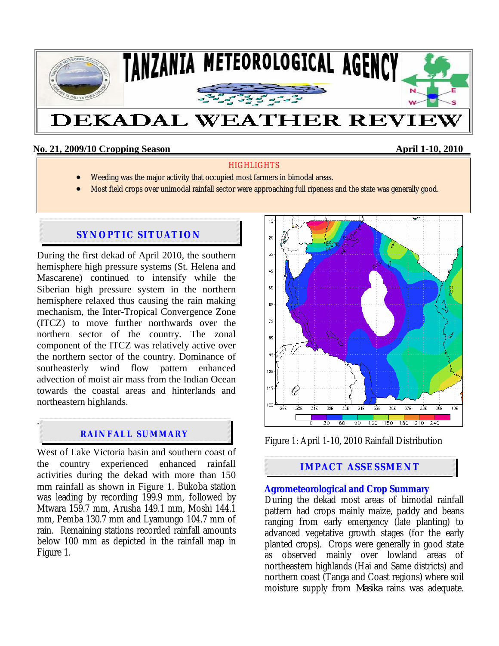

## **No. 21, 2009/10 Cropping Season April 1-10, 2010**

## **HIGHLIGHTS**

- Weeding was the major activity that occupied most farmers in bimodal areas.
- Most field crops over unimodal rainfall sector were approaching full ripeness and the state was generally good.

# **SYNOPTIC SITUATION**

During the first dekad of April 2010, the southern hemisphere high pressure systems (St. Helena and Mascarene) continued to intensify while the Siberian high pressure system in the northern hemisphere relaxed thus causing the rain making mechanism, the Inter-Tropical Convergence Zone (ITCZ) to move further northwards over the northern sector of the country. The zonal component of the ITCZ was relatively active over the northern sector of the country. Dominance of southeasterly wind flow pattern enhanced advection of moist air mass from the Indian Ocean towards the coastal areas and hinterlands and northeastern highlands.

# **RAINFALL SUMMARY**

.

West of Lake Victoria basin and southern coast of the country experienced enhanced rainfall activities during the dekad with more than 150 mm rainfall as shown in Figure 1. Bukoba station was leading by recording 199.9 mm, followed by Mtwara 159.7 mm, Arusha 149.1 mm, Moshi 144.1 mm, Pemba 130.7 mm and Lyamungo 104.7 mm of rain. Remaining stations recorded rainfall amounts below 100 mm as depicted in the rainfall map in Figure 1.



Figure 1: April 1-10, 2010 Rainfall Distribution

# **IMPACT ASSESSMENT**

## **Agrometeorological and Crop Summary**

During the dekad most areas of bimodal rainfall pattern had crops mainly maize, paddy and beans ranging from early emergency (late planting) to advanced vegetative growth stages (for the early planted crops). Crops were generally in good state as observed mainly over lowland areas of northeastern highlands (Hai and Same districts) and northern coast (Tanga and Coast regions) where soil moisture supply from *Masika* rains was adequate.